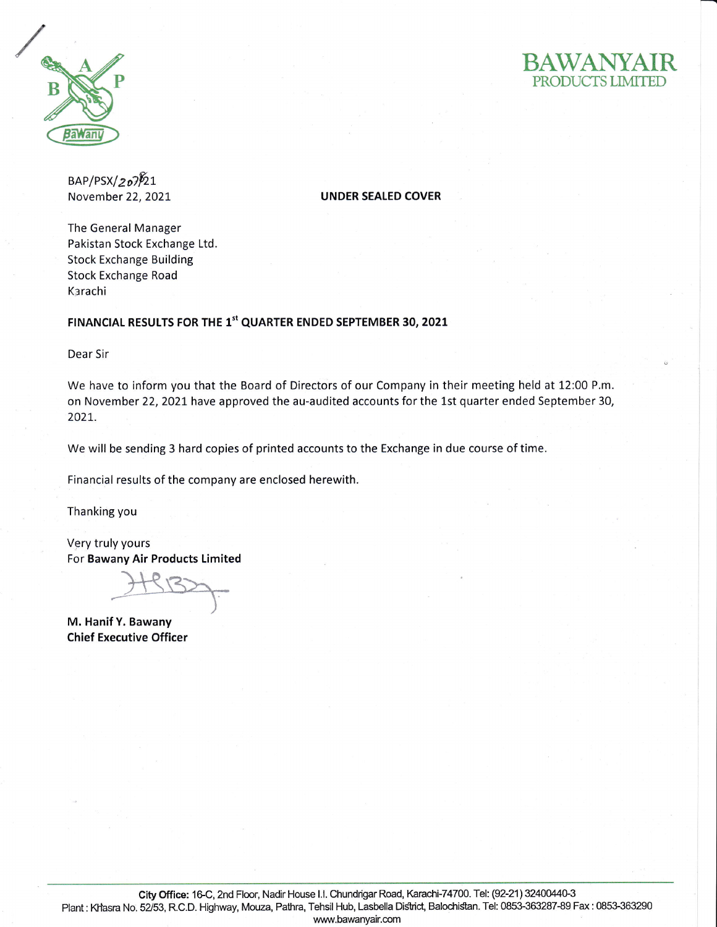



 $BAP/PSX/207\sqrt{21}$ 

November 22,2021 UNDER SEALED COVER

The General Manager Pakistan Stock Exchange Ltd Stock Exchange Building Stock Exchange Road Karachi

## FINANCIAL RESULTS FOR THE 1<sup>st</sup> QUARTER ENDED SEPTEMBER 30, 2021

Dear Sir

We have to inform you that the Board of Directors of our Company in their meeting held at 12;00 P.m. on November 22, 2021 have approved the au-audited accounts for the 1st quarter ended September 30, 202L.

We will be sending 3 hard copies of printed accounts to the Exchange in due course of time.

Financial results of the company are enclosed herewith.

Thanking you

Very truly yours For Bawany Air Products timited

M. Hanif Y. Bawany Chief Executive Officer